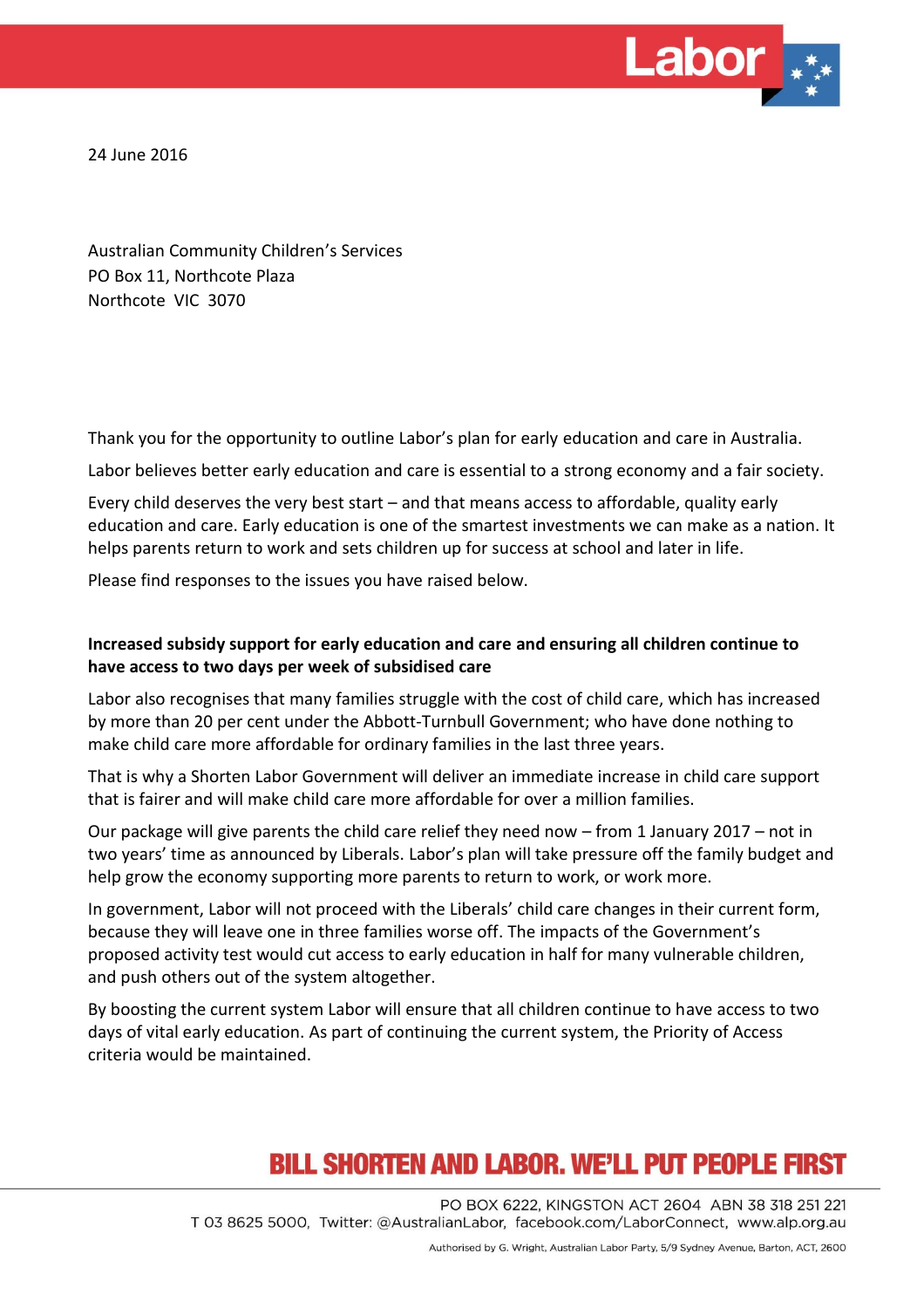

24 June 2016

Australian Community Children's Services PO Box 11, Northcote Plaza Northcote VIC 3070

Thank you for the opportunity to outline Labor's plan for early education and care in Australia.

Labor believes better early education and care is essential to a strong economy and a fair society.

Every child deserves the very best start – and that means access to affordable, quality early education and care. Early education is one of the smartest investments we can make as a nation. It helps parents return to work and sets children up for success at school and later in life.

Please find responses to the issues you have raised below.

#### **Increased subsidy support for early education and care and ensuring all children continue to have access to two days per week of subsidised care**

Labor also recognises that many families struggle with the cost of child care, which has increased by more than 20 per cent under the Abbott-Turnbull Government; who have done nothing to make child care more affordable for ordinary families in the last three years.

That is why a Shorten Labor Government will deliver an immediate increase in child care support that is fairer and will make child care more affordable for over a million families.

Our package will give parents the child care relief they need now – from 1 January 2017 – not in two years' time as announced by Liberals. Labor's plan will take pressure off the family budget and help grow the economy supporting more parents to return to work, or work more.

In government, Labor will not proceed with the Liberals' child care changes in their current form, because they will leave one in three families worse off. The impacts of the Government's proposed activity test would cut access to early education in half for many vulnerable children, and push others out of the system altogether.

By boosting the current system Labor will ensure that all children continue to have access to two days of vital early education. As part of continuing the current system, the Priority of Access criteria would be maintained.

### **BILL SHORTEN AND LABOR, WE'LL PUT PEOPLE FIRST**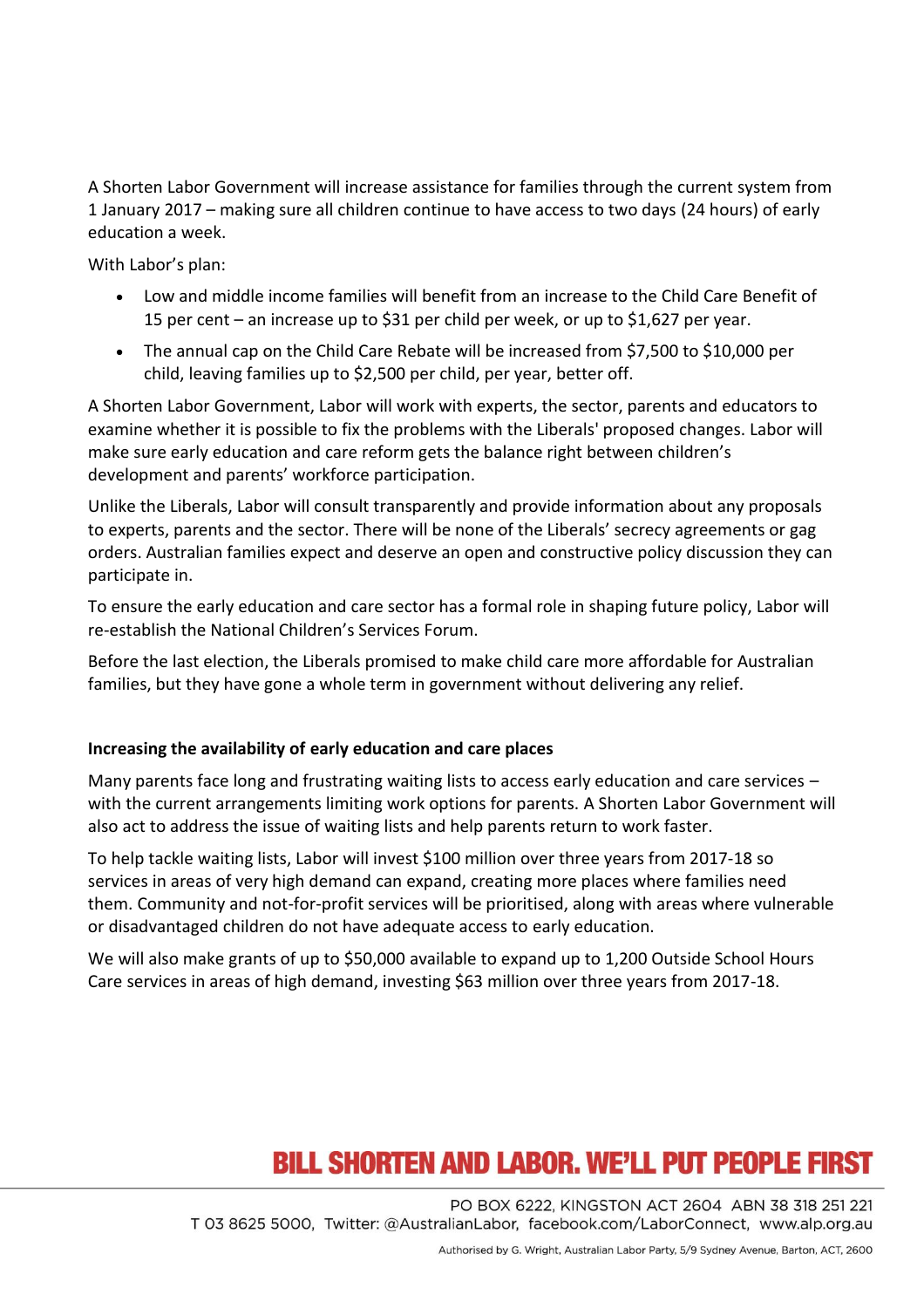A Shorten Labor Government will increase assistance for families through the current system from 1 January 2017 – making sure all children continue to have access to two days (24 hours) of early education a week.

With Labor's plan:

- Low and middle income families will benefit from an increase to the Child Care Benefit of 15 per cent – an increase up to \$31 per child per week, or up to \$1,627 per year.
- The annual cap on the Child Care Rebate will be increased from \$7,500 to \$10,000 per child, leaving families up to \$2,500 per child, per year, better off.

A Shorten Labor Government, Labor will work with experts, the sector, parents and educators to examine whether it is possible to fix the problems with the Liberals' proposed changes. Labor will make sure early education and care reform gets the balance right between children's development and parents' workforce participation.

Unlike the Liberals, Labor will consult transparently and provide information about any proposals to experts, parents and the sector. There will be none of the Liberals' secrecy agreements or gag orders. Australian families expect and deserve an open and constructive policy discussion they can participate in.

To ensure the early education and care sector has a formal role in shaping future policy, Labor will re-establish the National Children's Services Forum.

Before the last election, the Liberals promised to make child care more affordable for Australian families, but they have gone a whole term in government without delivering any relief.

#### **Increasing the availability of early education and care places**

Many parents face long and frustrating waiting lists to access early education and care services with the current arrangements limiting work options for parents. A Shorten Labor Government will also act to address the issue of waiting lists and help parents return to work faster.

To help tackle waiting lists, Labor will invest \$100 million over three years from 2017-18 so services in areas of very high demand can expand, creating more places where families need them. Community and not-for-profit services will be prioritised, along with areas where vulnerable or disadvantaged children do not have adequate access to early education.

We will also make grants of up to \$50,000 available to expand up to 1,200 Outside School Hours Care services in areas of high demand, investing \$63 million over three years from 2017-18.

## **BILL SHORTEN AND LABOR. WE'LL PUT PEOPLE FIRST**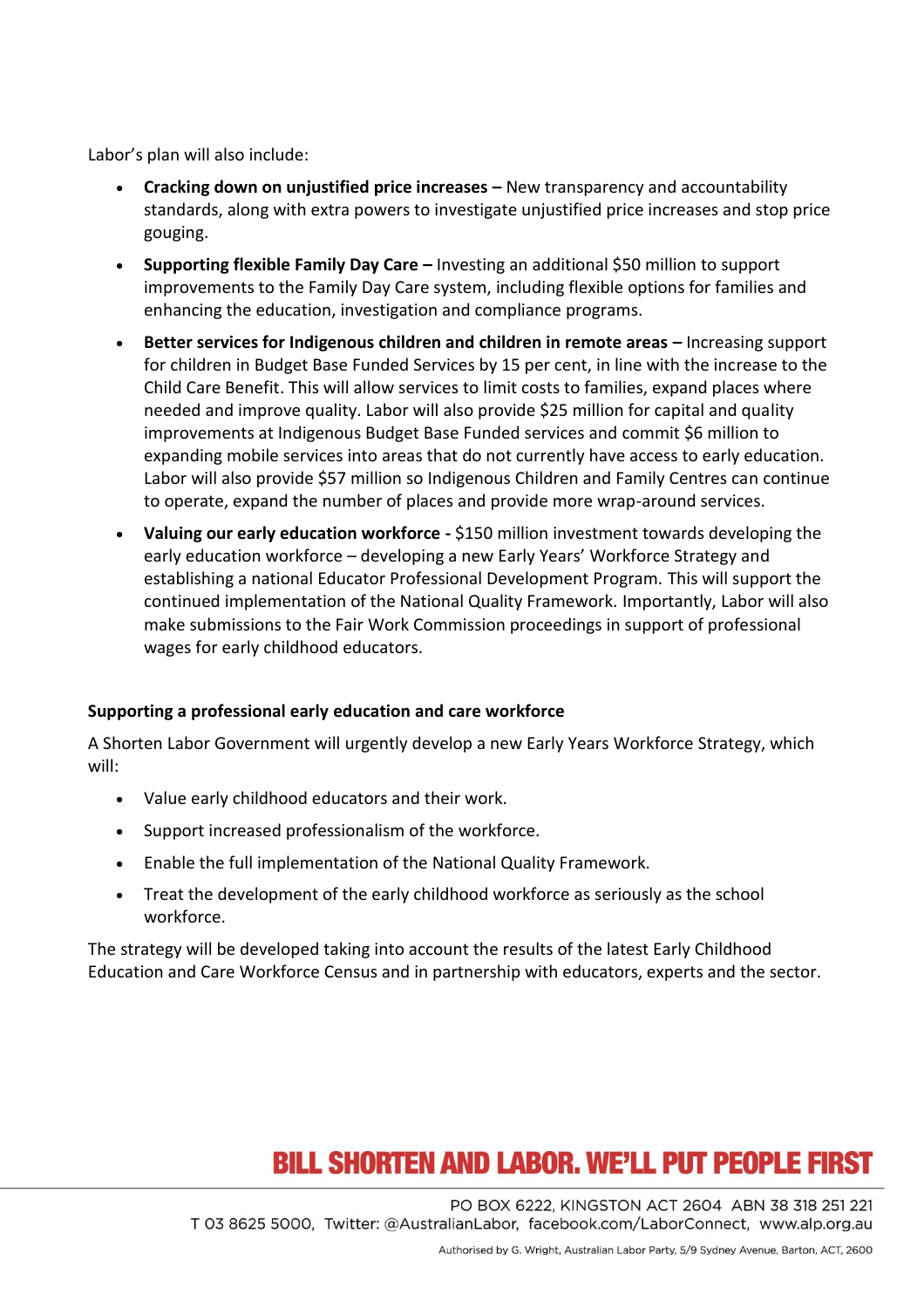Labor's plan will also include:

- **Cracking down on unjustified price increases –** New transparency and accountability standards, along with extra powers to investigate unjustified price increases and stop price gouging.
- **Supporting flexible Family Day Care –** Investing an additional \$50 million to support improvements to the Family Day Care system, including flexible options for families and enhancing the education, investigation and compliance programs.
- **Better services for Indigenous children and children in remote areas Increasing support** for children in Budget Base Funded Services by 15 per cent, in line with the increase to the Child Care Benefit. This will allow services to limit costs to families, expand places where needed and improve quality. Labor will also provide \$25 million for capital and quality improvements at Indigenous Budget Base Funded services and commit \$6 million to expanding mobile services into areas that do not currently have access to early education. Labor will also provide \$57 million so Indigenous Children and Family Centres can continue to operate, expand the number of places and provide more wrap-around services.
- **Valuing our early education workforce -** \$150 million investment towards developing the early education workforce – developing a new Early Years' Workforce Strategy and establishing a national Educator Professional Development Program. This will support the continued implementation of the National Quality Framework. Importantly, Labor will also make submissions to the Fair Work Commission proceedings in support of professional wages for early childhood educators.

#### **Supporting a professional early education and care workforce**

A Shorten Labor Government will urgently develop a new Early Years Workforce Strategy, which will:

- Value early childhood educators and their work.
- Support increased professionalism of the workforce.
- Enable the full implementation of the National Quality Framework.
- Treat the development of the early childhood workforce as seriously as the school workforce.

The strategy will be developed taking into account the results of the latest Early Childhood Education and Care Workforce Census and in partnership with educators, experts and the sector.

## **BILL SHORTEN AND LABOR. WE'LL PUT PEOPLE FIRST**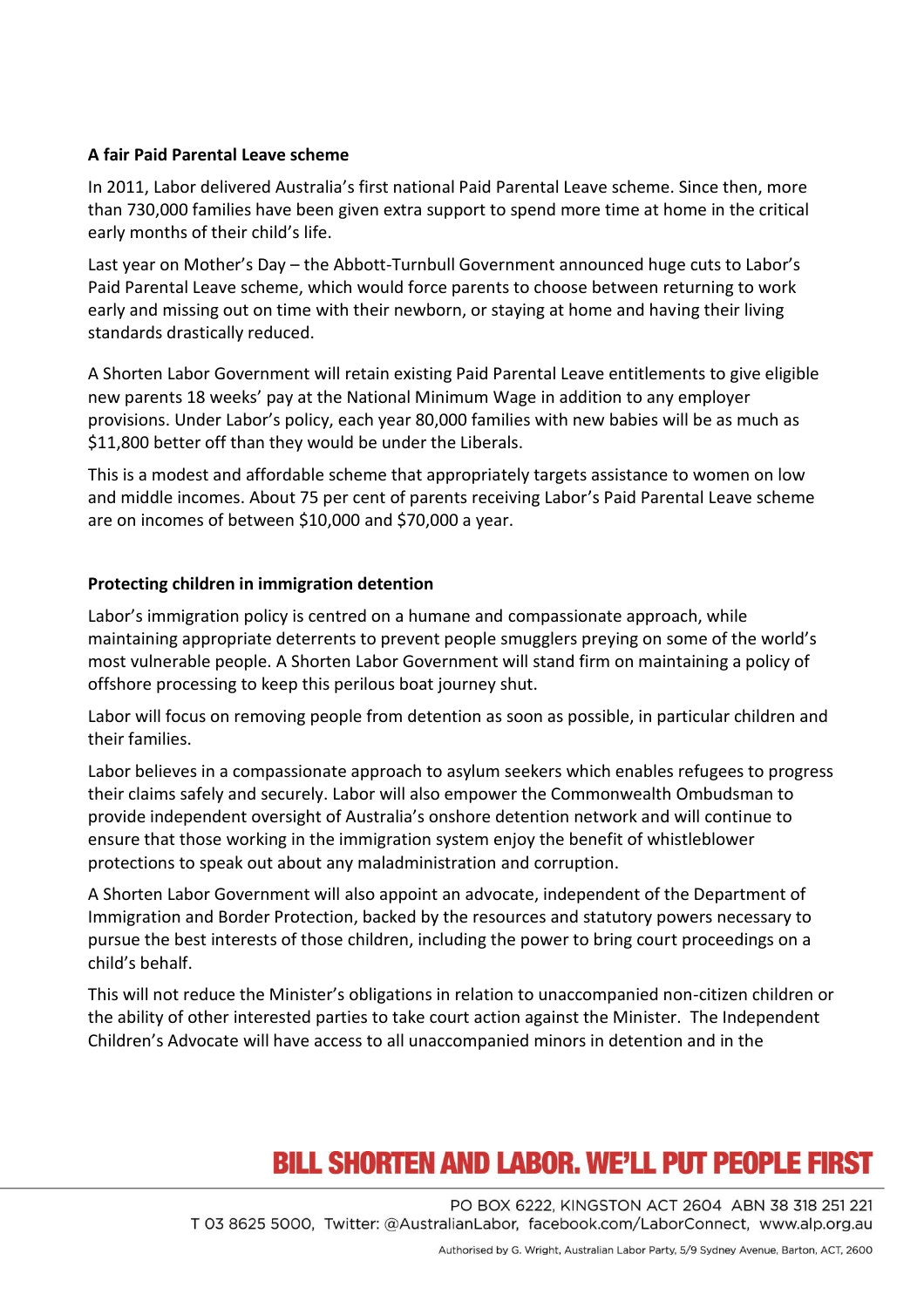### **A fair Paid Parental Leave scheme**

In 2011, Labor delivered Australia's first national Paid Parental Leave scheme. Since then, more than 730,000 families have been given extra support to spend more time at home in the critical early months of their child's life.

Last year on Mother's Day – the Abbott-Turnbull Government announced huge cuts to Labor's Paid Parental Leave scheme, which would force parents to choose between returning to work early and missing out on time with their newborn, or staying at home and having their living standards drastically reduced.

A Shorten Labor Government will retain existing Paid Parental Leave entitlements to give eligible new parents 18 weeks' pay at the National Minimum Wage in addition to any employer provisions. Under Labor's policy, each year 80,000 families with new babies will be as much as \$11,800 better off than they would be under the Liberals.

This is a modest and affordable scheme that appropriately targets assistance to women on low and middle incomes. About 75 per cent of parents receiving Labor's Paid Parental Leave scheme are on incomes of between \$10,000 and \$70,000 a year.

### **Protecting children in immigration detention**

Labor's immigration policy is centred on a humane and compassionate approach, while maintaining appropriate deterrents to prevent people smugglers preying on some of the world's most vulnerable people. A Shorten Labor Government will stand firm on maintaining a policy of offshore processing to keep this perilous boat journey shut.

Labor will focus on removing people from detention as soon as possible, in particular children and their families.

Labor believes in a compassionate approach to asylum seekers which enables refugees to progress their claims safely and securely. Labor will also empower the Commonwealth Ombudsman to provide independent oversight of Australia's onshore detention network and will continue to ensure that those working in the immigration system enjoy the benefit of whistleblower protections to speak out about any maladministration and corruption.

A Shorten Labor Government will also appoint an advocate, independent of the Department of Immigration and Border Protection, backed by the resources and statutory powers necessary to pursue the best interests of those children, including the power to bring court proceedings on a child's behalf.

This will not reduce the Minister's obligations in relation to unaccompanied non-citizen children or the ability of other interested parties to take court action against the Minister. The Independent Children's Advocate will have access to all unaccompanied minors in detention and in the

# **BILL SHORTEN AND LABOR. WE'LL PUT PEOPLE FIRST**